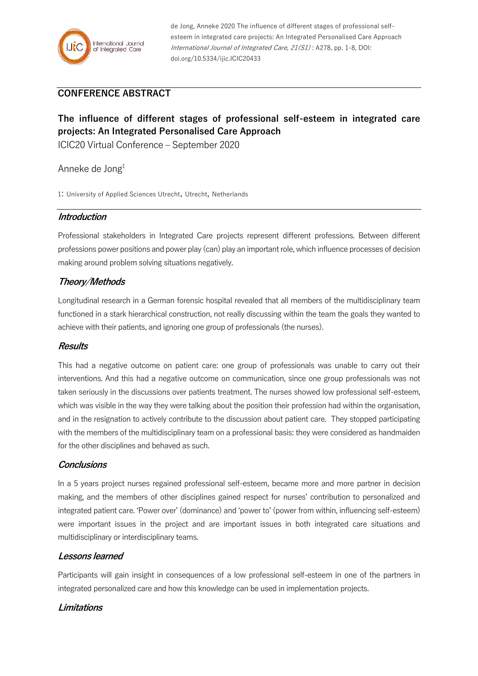

de Jong, Anneke 2020 The influence of different stages of professional selfesteem in integrated care projects: An Integrated Personalised Care Approach International Journal of Integrated Care, 21(S1) : A278, pp. 1-8, DOI: doi.org/10.5334/ijic.ICIC20433

## **CONFERENCE ABSTRACT**

# **The influence of different stages of professional self-esteem in integrated care projects: An Integrated Personalised Care Approach**

ICIC20 Virtual Conference – September 2020

### Anneke de Jong<sup>1</sup>

1: University of Applied Sciences Utrecht, Utrecht, Netherlands

### **Introduction**

Professional stakeholders in Integrated Care projects represent different professions. Between different professions power positions and power play (can) play an important role, which influence processes of decision making around problem solving situations negatively.

## **Theory/Methods**

Longitudinal research in a German forensic hospital revealed that all members of the multidisciplinary team functioned in a stark hierarchical construction, not really discussing within the team the goals they wanted to achieve with their patients, and ignoring one group of professionals (the nurses).

#### **Results**

This had a negative outcome on patient care: one group of professionals was unable to carry out their interventions. And this had a negative outcome on communication, since one group professionals was not taken seriously in the discussions over patients treatment. The nurses showed low professional self-esteem, which was visible in the way they were talking about the position their profession had within the organisation, and in the resignation to actively contribute to the discussion about patient care. They stopped participating with the members of the multidisciplinary team on a professional basis: they were considered as handmaiden for the other disciplines and behaved as such.

#### **Conclusions**

In a 5 years project nurses regained professional self-esteem, became more and more partner in decision making, and the members of other disciplines gained respect for nurses' contribution to personalized and integrated patient care. 'Power over' (dominance) and 'power to' (power from within, influencing self-esteem) were important issues in the project and are important issues in both integrated care situations and multidisciplinary or interdisciplinary teams.

## **Lessons learned**

Participants will gain insight in consequences of a low professional self-esteem in one of the partners in integrated personalized care and how this knowledge can be used in implementation projects.

## **Limitations**